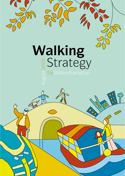

# forWolverhampton **Walking**<br>
Strategy<br>
Strategy<br>
Big forWolverhampton

סב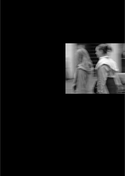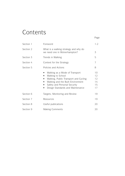# Contents

| Section 1 | Foreword                                                                                                                                                                                              | $1 - 2$                          |
|-----------|-------------------------------------------------------------------------------------------------------------------------------------------------------------------------------------------------------|----------------------------------|
| Section 2 | What is a walking strategy and why do<br>we need one in Wolverhampton?                                                                                                                                | 3                                |
| Section 3 | Trends in Walking                                                                                                                                                                                     | 5                                |
| Section 4 | Context for the Strategy                                                                                                                                                                              | $\overline{7}$                   |
| Section 5 | Policies and Actions                                                                                                                                                                                  | 8                                |
|           | Walking as a Mode of Transport<br>Walking to School<br>Walking, Public Transport and Cycling<br>Walking and the Built Environment<br>Safety and Personal Security<br>Design Standards and Maintenance | 10<br>12<br>12<br>14<br>15<br>17 |
| Section 6 | Targets, Monitoring and Review                                                                                                                                                                        | 19                               |
| Section 7 | Resources                                                                                                                                                                                             | 19                               |
| Section 8 | Useful publications                                                                                                                                                                                   | 20                               |
| Section 9 | Making Comments                                                                                                                                                                                       | 20                               |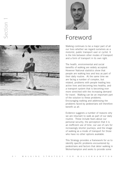



# Foreword

Walking continues to be a major part of all our lives whether we regard ourselves as a motorist, public transport user or cyclist. It is the link between other modes of transport and a form of transport in its own right.

The health, environmental and social benefits of walking are widely accepted. However National statistics show that people are walking less and less as part of their daily routine. At the same time we are facing a number of complex, but related, problems with people leading less active lives and becoming less healthy, and a transport system that is becoming ever more stretched with the increasing demand for travel. Walking can be an important part of the solution to these problems. Encouraging walking and addressing the problems faced by pedestrians will therefore benefit us all.

Evidence suggests a number of reasons why we are reluctant to walk as part of our daily routine. These include fears about our personal security, the perception that it is an inefficient use of time, our use of cars for increasingly shorter journeys, and the image of walking as a mode of transport for those who have no other options available.

This Strategy provides a framework for us to identify specific problems encountered by pedestrians and factors that deter walking in Wolverhampton and seeks to provide some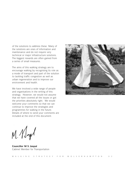of the solutions to address these. Many of the solutions are ones of information and maintenance and do not require very technical or major infrastructure solutions. The biggest rewards are often gained from a series of small measures.

The aims of this walking strategy are to encourage walking by recognising its role as a mode of transport and part of the solution to tackling traffic congestion as well as urban regeneration and to improve our environment and health.

We have involved a wide range of people and organisations in the writing of this strategy. However, we would not assume that we have covered all the issues or got the priorities absolutely right. We would welcome your comments so that we can continue to improve the strategies and programmes for walking in the future. Details of where to send your comments are included at the end of this document.



 $M.M$ 

**Councillor M S Jaspal** Cabinet Member for Transportation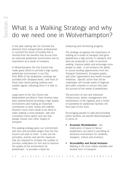# What is a Walking Strategy and why do we need one in Wolverhampton?

In the past walking has not received the attention from transportation professionals or received the levels of funding that is merited from the benefits that accrue from an improved pedestrian environment and its importance as a mode of transport.

In Wolverhampton the City Council has made great efforts to provide a high quality pedestrian environment in our City. Over 80% of the pedestrian crossings are provided with 'dropped kerbs', and most of these have tactile paving surfaces and audible signals indicating when it is safe to cross.

Large parts of the City Centre and Wednesfield and Bilston Town Centres have been pedestrianised providing a high quality environment and making an important contribution to their vitality and viability. However much more needs to be done to make walking a more pleasant, safe and convenient travel option and one that people choose over other modes of transport.

The walking strategy gives our commitment and aims and provides targets that the City Council will seek to meet. It sets out the principles, policies and specific measures that are required to increase the number of journeys undertaken on foot and to improve the quality of the environment for pedestrians. It provides a basis for

measuring and monitoring progress.

The strategy recognises the importance of walking as a mode of transport and gives pedestrians a high priority in transport and land use proposals in order to promote walking, improve safety and encourage more people to walk. It can enhance the ability to secure funding opportunities from the Transport Settlement, European grants, and other regeneration and health focused initiatives. Specific action that will be undertaken will include audits of highway and traffic schemes to ensure they take full account of the needs of pedestrians.

The provision of new and improved infrastructure, better management and maintenance of the highway and a review of standards for pedestrian facilities will form part of this work.

Encouraging people to walk and providing better facilities can benefit Wolverhampton in terms of:

- **Economic Revitalisation** the reallocation of space to favour pedestrians can assist in providing an attractive environment for residents, shoppers, visitors and investors.
- **Accessibility and Social Inclusion** Walking is the most widely available and flexible form of transport.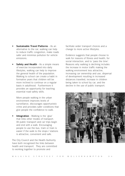- **Sustainable Travel Patterns** As an alternative to the car, walking can help to reduce traffic congestion, make roads safer and minimise pollution for vehicle emissions.
- **Safety and Health** As a simple means of exercise incorporated into daily lifestyles, walking can help to improve the general health of the population. Walking to school can create a habit in formative years that children will be more inclined to continue on a regular basis in adulthood. Furthermore it provides an opportunity for teaching essential road safety skills.

More people walking in the urban environment improves levels of surveillance, discourages opportunistic crime and provides safer conditions that give people the confidence to walk.

• **Integration** - Walking is the 'glue' that links other modes of transport. All public transport and car trips begin and end with a walk. Encouraging people to use the bus, tram or train is easier if the walk to the stops / stations is attractive, convenient and safe.

The City Council and the Health Authority have both recognised the links between health and transport. They are committed to working together to promote and

facilitate wider transport choices and a change to more active lifestyles.

Evidence suggests that people choose to walk for reasons of fitness and health, for social interaction, and to 'pass the time'. Reasons why walking is declining includes the increase in motor traffic making the walking environment less attractive, increasing car ownership and use, dispersal of development resulting in increased distances travelled, increase in children being taken to school by car, and the decline in the use of public transport.

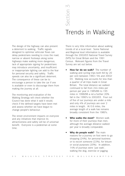# The design of the highway can also present a deterrent to walking. Traffic signals designed to optimise vehicular flows can delay pedestrians needing to cross the road, narrow or absent footways along some highways make walking more dangerous, lack of appropriate signing for pedestrians may introduce uncertainty, and insufficient or inappropriate lighting can add to the fear for personal security and safety. Traffic speeds can also be a significant deterrent. The consequence of these can be to encourage a person to take the car if one is available or even to discourage them from making the journey at all. <sup>18</sup> W<br>
<sup>19</sup> C<br>
<sup>19</sup> C<br>
<sup>19</sup> C<br>
<sup>19</sup> C<br>
<sup>19</sup> C<br>
<sup>20</sup> C<br> **19** C<br> **19** C<br> **19** C<br> **19** C<br> **19** C<br> **19** C<br> **19** C<br> **19** C<br> **19** C<br> **19** C<br> **19** C<br> **19** C<br> **19** C<br> **19** C<br> **19** C<br> **19** C<br> **19** C<br> **19** C<br> **19** C<br> **19** C<br> **19**

The monitoring and evaluation of the Walking Strategy will check whether the Council has done what it said it would, check if the defined targets have been met and assess whether we have begun to change people's behaviour.

The street environment impacts on everyone and any initiatives that improve its attractiveness and safety will be of universal benefit. Everyone is a pedestrian at some time.

# Trends in Walking

There is very little information about walking trends of at a local level. Some National and Regional level information is available through the 2002/03 National Travel Survey (NTS) for Great Britain and the 1991 Census. Relevant figures from the Travel Survey are set out below.

- **How far do we walk?** The number of walking and cycling trips both fell by 20 per cent between 1992 / 94 and 2002/ 03. Walking now accounts for less than a quarter of all trips made in Great Britain. The total distance we walked continued to fall from 244 miles per person per year in 1985/86 to 193 miles in 1996/98 a nd a further 20% fall in the 1990's to 2002/03. Four out of five of our journeys are under a mile and only 4% of journeys are over 2 miles in length. At 0.6 miles, the average length of a walk has remains broadly consistent from the 1980's.
- **Who walks the most?** Women walk for more of their journeys than men, although the average distance walked per year is broadly comparable.
- **Why do people walk?** The main reasons for a journey on foot were to go shopping (24%), for personal business or to escort someone (22%), for leisure or social purposes (20%). In addition, 14% of journeys were 'just walk', walking the dog, exercise or jogging.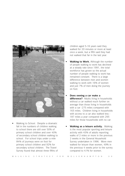

• Walking to School. Despite a dramatic fall in the numbers of children walking to school there are still over 50% of primary school children and over 40% of secondary school children walking to school. For school trips under a mile 84% of journeys were on foot for primary school children and 92% for secondary school children. The Travel Survey found that almost three fifths of

children aged 5-16 years said they walked for 20 minutes or more at least once a week, but a fifth said they had not walked that far in the last year.

- Walking to Work. Although the number of people walking to work has declined at a steady rate since 1991, the total workforce has grown so the actual number of people walking to work has remained constant. There is a large difference between men and women walking to work with 16% of women and just 7% of men doing the journey on foot.
- **Does owning a car make a difference?** Adults living in households without a car walked much further on average than those living in households with a car -275 miles compared with 163 miles. Children living in households with access to a car also walked less - 187 miles a year compared with 293 miles for those households with no car.
- **Walking as a leisure activity.** Walking is the most popular sporting and leisure activity with 45% of adults reporting walks of 2 miles or more in the previous 2 weeks in the General Household Survey undertaken in 1996. More men walked for leisure than women, 49% in the previous 4 weeks prior to the survey compared to 41% for women.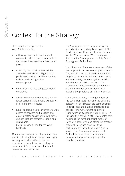# Context for the Strategy

The vision for transport in the West Midlands is for:

- a thriving, sustainable and vibrant community where people want to live and where businesses can develop and grow;
- town, city and local centres will be attractive and vibrant. High quality public transport will be the norm and walking and cycling will be commonplace;
- Cleaner air and less congested traffic conditions;
- a safer community where there will be fewer accidents and people will feel less at risk and more secure;
- Equal opportunities for everyone to gain access to services and facilities and enjoy a better quality of life with travel choices that are attractive, viable and sustainable. (Local Transport Plan for the West Midlands)

Our walking strategy will play an important part in achieving this vision by encouraging walking as an alternative to car use, especially for local trips, by creating an environment for pedestrians that is safe, convenient and attractive.

The Strategy has been influenced by and accords with the Unitary Development Plan (Under Review), Regional Planning Guidance for the West Midlands, Wolverhampton Regeneration Strategy, and the City Centre Strategy and Action Plan.

Local Transport Plans are a core part of the new approach and are statutory documents. They should meet local needs and set local targets, for example, to improve air quality and road safety, increase cycling, walking and the use of public transport. The challenge is to accommodate the forecast growth in the demand for travel while avoiding the problems of traffic congestion.

The walking strategy is a requirement of the Local Transport Plan and the aims and objectives of this strategy are complementary to other local and national strategies and policies. The Government published Planning Policy Guidance Note 13 (PPG 13) 'Transport' in March 2001, which notes that walking is the most important mode of travel at a local level and offers the greatest potential to replace short car trips, particularly for those trips under 2km in length. The Government wants Local Authorities to use their planning and transportation powers to give greater priority to walking.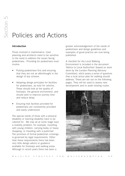# Policies and Actions

#### **Introduction**

Those involved in maintenance, town planning and architects need to be sensitive to the need to address the issues facing pedestrians. Providing for pedestrians must involve:

- Putting pedestrians first and ensuring that they are not an afterthought in the design of any scheme.
- Adopting design principles for facilities for pedestrians, as exist for vehicles. These should look at the quality of footways, the general environment, and should seek to improve journey time and reduce delay.
- Ensuring that facilities provided for pedestrians are consistently provided and easily understood.

The special needs of those with a physical disability or learning disability have to be catered for. We may all at some stage have a mobility problem, for example, travelling with young children, carrying bulky or heavy shopping, or travelling with a pushchair. The provision of formal pedestrian crossings is governed by legal requirements. Other than these requirements there has been very little design advice or guidance available for footways and walking areas. Although in recent years there has been a

greater acknowledgement of the needs of pedestrians and design guidelines and examples of good practice are now being published.

A checklist for the Local Walking Environment is included in the document 'Advice to Local Authorities' (based on work done by the London Planning Advisory Committee), which poses a series of questions that a local action plan for walking should address. These are set out on the following pages. They will be used to assess new development and to audit existing routes.

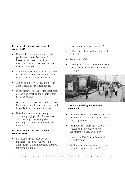#### **Is the local walking environment connected?**

- How well is walking integrated with public transport? Are there, for instance, partnerships with public transport operators to develop local walking networks?
- Are routes to key destinations continuous. that is without barriers such as major roads that are difficult to cross?
- Are walking networks designed to give good access to key destinations?
- Is the distance to public transport stops as short as practical for people within the area served?
- Are pedestrian crossings sited on desire lines where people want to cross to get to public transport interchanges?
- Have important routes been given sufficiently high priority, for example short waiting times at signalled crossings on routes to bus and rail interchanges?

#### **Is the local walking environment comfortable?**

• Do local facilities meet design standards, such as footway widths, good quality walking surfaces, planning for disabled people?

- Is pavement parking a problem?
- Is there a problem with cycling on the footway?
- Are routes safe?
- Is the general condition of the walking surface clear of obstructions, broken paving etc?



#### **Is the local walking environment convenient?**

- Are the walking routes continuous, for example, is the road raised to footway level at junctions?
- Are pedestrian crossings appropriately located to allow people to cross conveniently, easily and safely?
- Do existing facilities cause delays to pedestrians?
- Are there pedestrian signals or phases at traffic signalled junctions?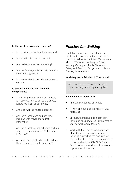#### **Is the local environment convivial?**

- Is the urban design to a high standard?
- Is it as attractive as it could be?
- Are pedestrian routes interesting?
- Are the footways substantially free from litter and dog mess?
- Is crime or the fear of crime a cause for concern?

#### **Is the local walking environment conspicuous?**

- Are walking routes clearly sign-posted? Is it obvious how to get to the shops, leisure facilities, or bus stops?
- Are local walking routes published?
- Are there local maps and are they included with travel and tourist information?
- Are there local walking schemes such as school crossing patrols or 'Safer Routes to School'?
- Are street names clearly visible and are they repeated at regular intervals?

#### *Policies for Walking*

The following policies reflect the issues mentioned previously and are considered under the following headings: Walking as a Mode of Transport; Walking to School; Walking, Cycling and Public Transport; Safety and Security; Design Standards and Footway Maintenance.

#### **Walking as a Mode of Transport**

W1 - To replace many of the short trips currently made by car by trips on foot

#### **How we will achieve this?**

- Improve key pedestrian routes
- Review and audit of the rights of way footpaths
- Encourage employers to adopt Travel Plans and encourage their employees to walk to work where feasible.
- Work with the Health Community and other bodies to promote walking including supporting the 'Walking for Health' Initiative (This is co-ordinated by the Wolverhampton City NHS Primary Care Trust and provides route maps and regular short led walks).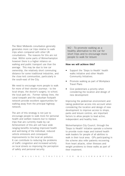The West Midlands conurbation generally generates more car trips relative to walk trips when compared with other UK conurbations. The reasons for this are not clear. Within some parts of Wolverhampton however there is a higher reliance on walking and public transport use than the average. This may be due to low car ownership, the relatively short commuting distance for some traditional industries, and the close knit communities, particularly in the south-east of the City.

We need to encourage more people to walk for more of their shorter journeys - to the local shops, the doctor's surgery, to school, the local park etc. Former railway lines, the canal towpath and the suburban footpath network provide excellent opportunities for walking away from the principal highway network.

The aim of this strategy is not just to encourage people to walk more for personal health and welfare reasons but to replace trips that are currently made by car. Achievement of this aim will have wide ranging benefits including improved health and well-being of the individual, reduced vehicle emissions and consequent improvements to the local air pollution. It can contribute to reducing the problems of traffic congestion and increased activity on local streets so improving the perception of safety and personal security.

W2 - To promote walking as a healthy alternative to the car for short trips and to encourage more people to walk for leisure

#### **How we will achieve this?**

- Support the 'Steps to Health' health walks initiative and other Health Community Initiatives.
- Promote walking as part of Workplace Travel Plans
- Give pedestrians a priority when considering the location and design of new development

Improving the pedestrian environment and taking pedestrian access into account when considering the location and design of new development to improve access to shops, parks and leisure centres, are important factors to allow people to lead active, independent and healthy lives.

Wolverhampton City Council, through the 'Steps to Health' initiative operate a scheme to provide route maps and trained health walk leaders for people of all abilities to walk in their local area. GPs participating in the scheme also refer patients recovering from heart attacks, other illnesses and weight problems to these walks as part of their treatment.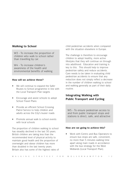#### **Walking to School**

W3 - To increase the proportion of children who walk to school rather than travelling by car.

W4 - To increase children's awareness of the health and environmental benefits of walking

#### **How will we achieve these?**

- We will continue to expand the Safer Routes to School programme in line with the Local Transport Plan targets
- Encourage and assist schools to adopt School Travel Plans
- Provide an efficient School Crossing Patrol Service to help children and adults across the City's busier roads
- Promote annual walk to school events with local schools

The proportion of children walking to school has steadily declined in the last 30 years. British children are taking less than the recommended level of physical activity to maintain good health and the proportion of overweight and obese children has more than doubled in the last twenty years. Britain also has some of the highest rates of child pedestrian accidents when compared with the situation elsewhere in Europe.

The challenge is therefore to encourage children to adopt healthy, more active lifestyles that they will continue on through into adulthood. Education and training is key to this. This should help to improve pedestrian safety and reduce accidents. Care needs to be taken in evaluating child pedestrian accidents to ensure that any reduction does not simply reflect a decrease in the number of children walking to school and walking generally as part of their daily routine.

#### **Integrating Walking with Public Transport and Cycling**

W5 - To ensure pedestrian access to and from public transport stops and stations is direct, safe, and attractive

#### **How are we going to achieve this?**

• Work with Centro and Bus Operators to ensure bus stops are safe, convenient, no more than 5 minutes walking time apart along main roads in accordance with the bus strategy for the West Midlands (Local Transport Plan).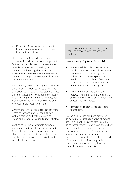• Pedestrian Crossing facilities should be located for convenient access to bus, tram and train stops.

The distance, safety and ease of walking to bus, train and tram stops are important factors that people take into account when considering whether to travel by public transport. Addressing the pedestrian environment is therefore vital in the overall transport strategy to encourage walking and public transport use.

It is generally accepted that people will walk a maximum of 400m to get to a bus stop and 800m to get to a railway station. What these distances don't consider is the quality of the walking environment for people, how many busy roads need to be crossed and how well lit the local streets are.

Cyclists and pedestrians often use the same rights of way and parts of the highway without conflict and both are seen as 'vulnerable users' in relation to motor traffic.

Conflict can occur for example between pedestrians and cyclists in pedestrianised City and Town centres, on purpose-built shared routes, and bridleways where there may be confusion over access rights and who should have priority.

W6 - To minimise the potential for conflict between pedestrians and cyclists.

#### **How are we going to achieve this?**

- Where possible cycle routes will use the highway or separate off-road routes. However in an urban setting like Wolverhampton where space is at a premium this is not always feasible and shared use of the footway is the only practical, safe and viable option.
- Where there is shared use of the footway - warning signs and delineation on the footway will be used to separate pedestrians and cyclists.
- Provision of Toucan Crossings where appropriate.

Cycling and walking are both promoted as being more sustainable ways of moving around and both activities often use the same rights of way. Conflict can arise where there is confusion over access rights. For example cyclists aren't always allowed into pedestrian city and town centres, cycle use of the footway etc. The relative speed of cyclists can be intimidating to the pedestrian particularly if they have not heard the approaching cyclist.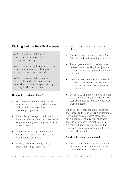#### **Walking and the Built Environment**

W7 - To ensure that the built environment is designed to be pedestrian friendly.

W8 - To ensure that key pedestrian routes and main attractions for people are well sign-posted

W9 - To ensure that pedestrian access to and within car parks is safe, direct and well-signed and gives priority to the pedestrian

#### **How will we achieve these?**

- A programme of audits of pedestrian routes and access to key destinations will be undertaken to inform the spending programme
- Pedestrian Crossings to be located to improve safety and for the convenience of pedestrians (minimising the distance to be walked)
- A maintenance programme adopted to ensure well maintained, well lit, and clean pedestrian routes
- Update and maintain City Centre Pedestrian 'finger post' signs.
- Provide street names in prominent places
- Give pedestrians priority in Local Safety Schemes and traffic calming measures
- The programme of improvements for pedestrians at the Ring Road junctions to improve links into the City Centre will continue
- Developer contributions will be sought to improve pedestrian links between the City Centre and new development on the periphery
- Continue to upgrade car parks to meet the 'Secured by Design' standard. Five Wolverhampton car parks already meet these standards.

Urban design relates individual buildings and spaces to the surrounding environment. Good urban design creates places that people find safe, stimulating, enjoyable and easily navigable. Central to this is providing a human scale of design that ensures it is easy for a pedestrian to move around and within it.

#### **Good pedestrian routes should:**

• Provide direct and continuous routes between key destinations and be well connected to public transport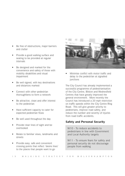- Be free of obstructions, major barriers and clutter
- Provide a good walking surface and seating to be provided at regular intervals
- Be designed and marked for the convenience and safety of those with mobility disabilities and visual impairment
- Be well signed, with key destinations and distances marked
- Connect with other pedestrian thoroughfares to form a network
- Be attractive, clean and offer interest to the pedestrian
- Have sufficient capacity to cater for expected pedestrian flows
- Be well used throughout the day
- Provide clear lines of sight and be overlooked
- Relate to familiar views, landmarks and streets
- Provide easy, safe and convenient crossing points that reflect 'desire lines' to the places that people want to go



• Minimise conflict with motor traffic and delay to the pedestrian at signalled junctions

The City Council has already implemented a successful programme of pedestrianisation of the City Centre, Bilston and Wednesfield Centres that have greatly improved the general environment. More recently the Council has introduced a 20 mph restriction on traffic speeds within the City Centre Ring Road. This will give greater priority to pedestrians, improve road safety, and reduce the number and severity of injuries from road traffic accidents.

#### **Safety and Personal Security**

W10 - To reduce accidents to pedestrians in line with Government and Local Authority targets

W11 - To ensure fears for safety and personal security do not discourage people from walking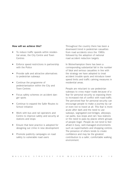#### **How will we achieve this?**

- To reduce traffic speeds within residential areas, the City Centre and Town **Centres**
- Enforce speed restrictions in partnership with the Police
- Provide safe and attractive alternatives to pedestrian subways
- Continue the programme of pedestrianisation within the City and Town Centres
- Focus safety schemes on accident danger spots
- Continue to expand the Safer Routes to School initiative
- Work with bus and rail operators and Centro to improve safety and security at stations and stops
- Ensure that best practice is adopted for designing out crime in new development
- Promote publicity campaigns on road safety to vulnerable road users

Throughout the country there has been a downward trend in pedestrian casualties from road accidents since the 1980s followed by the adoption of national road accident reduction targets.

In Wolverhampton there has been a corresponding substantial fall in the number of fatal and serious casualties in line with the strategy we have adopted to treat accident trouble spots and introduce lower speed limits and traffic calming measures in residential areas.

People are reluctant to use pedestrian subways to cross major roads because of a fear for personal security so exposing them to increased risk of conflict with road traffic. The perceived fear for personal security can encourage people to make a journey by car or even not to travel at all. This fear is more acute after dark and the need to use subways, segregated over-bridges, alleyways, car parks, bus stops and rail / bus stations or the need to pass by places where groups of people linger. People do not tend to feel afraid in busy, well-managed environments such as supermarkets and shopping centres. The presence of others tends to create confidence and may be the greatest contribution to a safer, comfortable walking environment.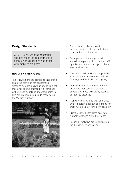#### **Design Standards**

W12 - To ensure that pedestrian facilities meet the requirements of people with disabilities and those with mobility problems

#### **How will we achieve this?**

The following are the principles that should guide the provision for pedestrians, although detailed design solutions to meet these will be implemented in accordance with current guidelines and good practice. It is not proposed to include these within the Walking Strategy.



- A pedestrian footway should be provided in areas of high pedestrian flows and all residential areas
- On segregated routes, pedestrians should be separated from motor traffic by a kerb face and from cyclists by at least a white line.
- Dropped crossings should be provided at all junctions between footpaths or footways and vehicular carriageway
- All facilities should be designed and maintained for easy use by older people and those with sight, hearing, or mobility disability
- Highway works will be well publicised and temporary arrangements made for those with a sight or mobility disability
- Provide conveniently sited seating at suitable locations along key routes
- Ensure all footways are unobstructed for the safety of pedestrians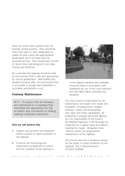There are some basic qualities that the footway should possess. They should be direct and open to view, adequately lit, usable all year round and appropriately landscaped not to increase fears for personal security. They should take account of 'desire lines' and designed to be wide, inviting and attractive.

As a principle the highway should provide an environment that is safe and appropriate for use by pedestrians - able bodied and disabled persons alike. An environment that is accessible to people with disabilities is accessible and benefits us all.

#### **Footway Maintenance**

W13 - To ensure that all footways are maintained to a standard that minimises the opportunity for trip accidents and contributes to making walking a pleasant experience

#### **How we will achieve this**

- Support and promote the telephone hotline number to report problems on the highway
- Continue the monitoring and maintenance programme to ensure that the condition of the highway is



of the highest standard that available resources allow in accordance with standards set out in the Local transport and that 'Best Value' principles are adopted.

The City Council is responsible for the maintenance and repair of its roads and footpaths, including kerbs, bridges, subways, verges and landscaping. Also signs and street nameplates, all pedestrian crossings and street lighting are the responsibility of the Council. All adopted highways in the Borough are inspected on a regular basis and defects reported for repair. Alongside these 'reactive works' are programmed maintenance of the highway.

The Council also has a telephone hotline for the public to report problems on the highway. This is Wolverhampton (01902) 555888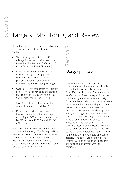# Targets, Monitoring and Review

The following targets will provide indicators of the achievement of the objectives of the Strategy:

- To limit the growth of road traffic mileage in the metropolitan area to not more than 7% between 2004 and 2010 (Local Transport Plan (LTP) target)
- Increase the percentage of children walking, cycling, or using public transport to school to 70% for primary school-age and 90% for secondary school children (LTP target)
- Over 99% of the total length of footpaths and other rights of way to be of a standard that is easy to use by the public (Best Value Performance Plan (BVPP))
- Over 60% of footpaths sign-posted where they leave a road (BVPP)
- Reduce the length of high usage footways requiring further investigation according to DfT rules and parameters by 5% between 2003/04 and 2010/11 (LTP target)

The targets and policies will be monitored and reported annually. The Strategy will be reviewed in 2006 in line with the review of the Local Transport Plan for the West Midlands or sooner if the results of the annual monitoring process indicates a need for changes before this date.

Section 7Section

### Resources

Improvements to the pedestrian environment and the promotion of walking will be funded principally through the City Council's Local Transport Plan settlement for Capital and Revenue expenditure that is confirmed by the Government annually. Opportunities will also continue to be taken to secure funding from developers for new pedestrian facilities where these are required as part of the new development and grants sought from European and national regeneration programmes to add value to other public and private investment. The City Council has an excellent record working closely with our health and education colleagues and with public transport operators, adjoining Local Authorities and the voluntary and business sectors. The objectives of the Walking Strategy will not be achieved unless this approach to partnership working continues.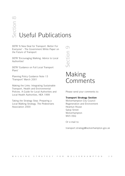# Section 8 Section 8 Useful Publications

DETR 'A New Deal for Transport: Better For Everyone' - The Government White Paper on the Future of Transport

DETR 'Encouraging Walking: Advice to Local Authorities'

DETR 'Guidance on Full Local Transport Plans'

Planning Policy Guidance Note 13 'Transport' March 2001

Making the Links: Integrating Sustainable Transport, Health and Environmental Policies. A Guide for Local Authorities and Local Health Authorities, HEA 1999

Taking the Strategy Step: Preparing a Local Walking Strategy. The Pedestrians Association 2000

Section<sub>9</sub> Section 9

## Making Comments

Please send your comments to:

#### **Transport Strategy Section**

Wolverhampton City Council Regeneration and Environment Heantun House Salop Street Wolverhampton WV3 0SQ

Or e-mail to:

transport.strategy@wolverhampton.gov.uk